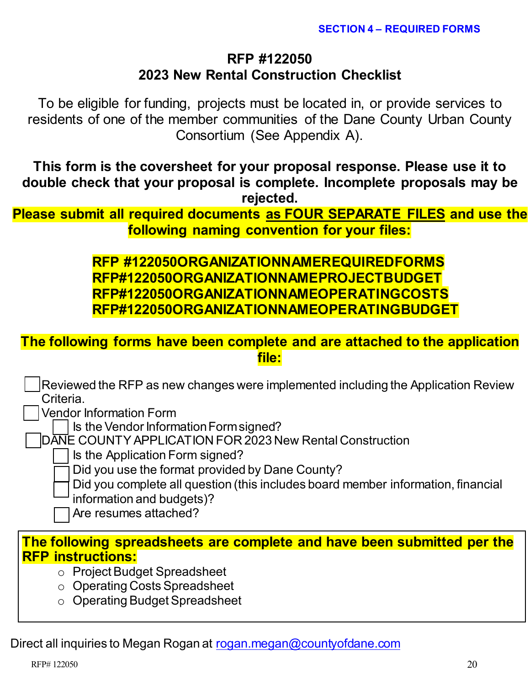# **RFP #122050 2023 New Rental Construction Checklist**

To be eligible for funding, projects must be located in, or provide services to residents of one of the member communities of the Dane County Urban County Consortium (See Appendix A).

**This form is the coversheet for your proposal response. Please use it to double check that your proposal is complete. Incomplete proposals may be rejected.**

**Please submit all required documents as FOUR SEPARATE FILES and use the following naming convention for your files:**

> **RFP #122050ORGANIZATIONNAMEREQUIREDFORMS RFP#122050ORGANIZATIONNAMEPROJECTBUDGET RFP#122050ORGANIZATIONNAMEOPERATINGCOSTS RFP#122050ORGANIZATIONNAMEOPERATINGBUDGET**

**The following forms have been complete and are attached to the application file:** 

 Reviewed the RFP as new changes were implemented including the Application Review Criteria.

Vendor Information Form

Is the Vendor Information Form signed?

DANE COUNTYAPPLICATION FOR 2023 New Rental Construction

Is the Application Form signed?

Did you use the format provided by Dane County?

Did you complete all question (this includes board member information, financial

information and budgets)?

Are resumes attached?

### **[The following spreadsheets are complete and have been submitted per the](https://countyofdane.sharefile.com/share/view/s885ee4af28a344cdaa1251fdfc40ceaf)  RFP instructions:**

- o Project Budget Spreadsheet
- o Operating Costs Spreadsheet
- o Operating Budget Spreadsheet

Direct all inquiries to Megan Rogan at [rogan.megan@countyofdane.com](mailto:rogan.megan@countyofdane.com)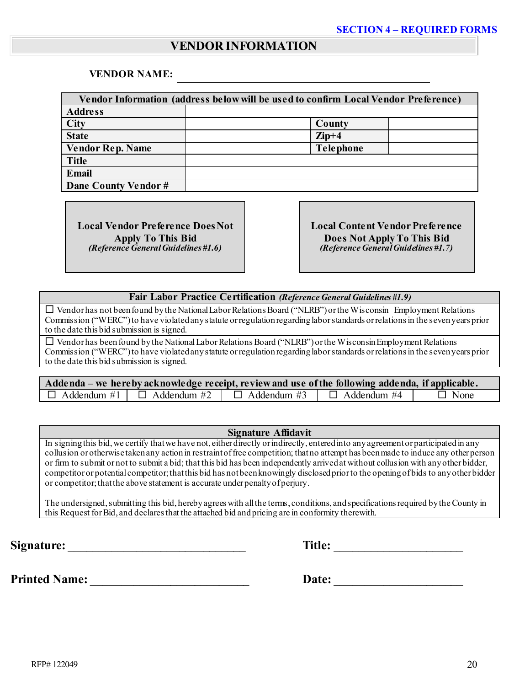### **VENDOR INFORMATION**

#### **VENDOR NAME:**

| Vendor Information (address below will be used to confirm Local Vendor Preference) |                  |  |
|------------------------------------------------------------------------------------|------------------|--|
| <b>Address</b>                                                                     |                  |  |
| City                                                                               | County           |  |
| <b>State</b>                                                                       | $\mathbf{Zip}+4$ |  |
| <b>Vendor Rep. Name</b>                                                            | <b>Telephone</b> |  |
| <b>Title</b>                                                                       |                  |  |
| <b>Email</b>                                                                       |                  |  |
| Dane County Vendor#                                                                |                  |  |

**Local Vendor Preference Does Not Apply To This Bid** *(Reference General Guidelines #1.6)*

**Local Content Vendor Preference Does Not Apply To This Bid** *(Reference General Guidelines #1.7)*

#### **Fair Labor Practice Certification** *(Reference General Guidelines #1.9)*

 Vendor has not been found by the National Labor Relations Board ("NLRB") or the Wisconsin Employment Relations Commission ("WERC") to have violated any statute or regulation regarding labor standards or relations in the seven years prior to the date this bid submission is signed.

 $\square$  Vendor has been found by the National Labor Relations Board ("NLRB") or the Wisconsin Employment Relations Commission ("WERC") to have violated any statute or regulation regarding labor standards or relations in the seven years prior to the date this bid submission is signed.

| Addenda – we here by acknowledge receipt, review and use of the following addenda, if applicable. |                                       |                                       |  |             |
|---------------------------------------------------------------------------------------------------|---------------------------------------|---------------------------------------|--|-------------|
|                                                                                                   | $\Box$ Addendum #1 $\Box$ Addendum #2 | $\Box$ Addendum #3 $\Box$ Addendum #4 |  | $\Box$ None |

#### **Signature Affidavit**

In signing this bid, we certify that we have not, either directly or indirectly, entered into any agreement or participated in any collusion or otherwise taken any action in restraint of free competition; that no attempt has been made to induce any other person or firm to submit or not to submit a bid; that this bid has been independently arrived at without collusion with any other bidder, competitor or potential competitor; that this bid has not been knowingly disclosed prior to the opening of bids to any other bidder or competitor; that the above statement is accurate under penalty of perjury.

The undersigned, submitting this bid, hereby agrees with all the terms, conditions, and specifications required by the County in this Request for Bid, and declares that the attached bid and pricing are in conformity therewith.

**Signature:** \_\_\_\_\_\_\_\_\_\_\_\_\_\_\_\_\_\_\_\_\_\_\_\_\_\_\_\_\_ **Title:** \_\_\_\_\_\_\_\_\_\_\_\_\_\_\_\_\_\_\_\_\_

**Printed Name:** \_\_\_\_\_\_\_\_\_\_\_\_\_\_\_\_\_\_\_\_\_\_\_\_\_\_ **Date:** \_\_\_\_\_\_\_\_\_\_\_\_\_\_\_\_\_\_\_\_\_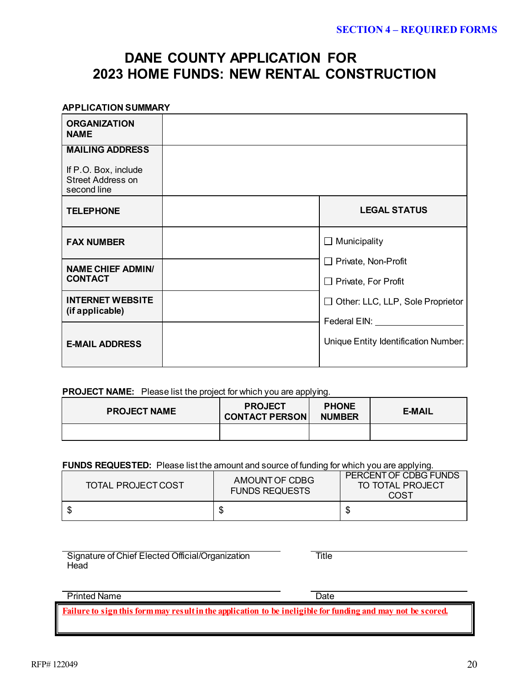# **DANE COUNTY APPLICATION FOR 2023 HOME FUNDS: NEW RENTAL CONSTRUCTION**

| <b>APPLICATION SUMMARY</b>                                                                |                                                               |
|-------------------------------------------------------------------------------------------|---------------------------------------------------------------|
| <b>ORGANIZATION</b><br><b>NAME</b>                                                        |                                                               |
| <b>MAILING ADDRESS</b><br>If P.O. Box, include<br><b>Street Address on</b><br>second line |                                                               |
| <b>TELEPHONE</b>                                                                          | <b>LEGAL STATUS</b>                                           |
| <b>FAX NUMBER</b>                                                                         | $\Box$ Municipality                                           |
| <b>NAME CHIEF ADMIN/</b><br><b>CONTACT</b>                                                | $\Box$ Private, Non-Profit<br>$\Box$ Private, For Profit      |
| <b>INTERNET WEBSITE</b><br>(if applicable)                                                | $\Box$ Other: LLC, LLP, Sole Proprietor<br>Federal EIN: Value |
| <b>E-MAIL ADDRESS</b>                                                                     | Unique Entity Identification Number:                          |

#### **PROJECT NAME:** Please list the project for which you are applying.

| <b>PROJECT NAME</b> | <b>PROJECT</b><br><b>CONTACT PERSON</b> | <b>PHONE</b><br><b>NUMBER</b> | <b>E-MAIL</b> |
|---------------------|-----------------------------------------|-------------------------------|---------------|
|                     |                                         |                               |               |

#### **FUNDS REQUESTED:** Please list the amount and source of funding for which you are applying.

| TOTAL PROJECT COST | AMOUNT OF CDBG<br><b>FUNDS REQUESTS</b> | PERCENT OF CDBG FUNDS<br>TO TOTAL PROJECT<br>COST |
|--------------------|-----------------------------------------|---------------------------------------------------|
|                    |                                         |                                                   |

Signature of Chief Elected Official/Organization **Head** 

**Title** 

#### Printed Name Date

**Failure to sign this form may result in the application to be ineligible for funding and may not be scored.**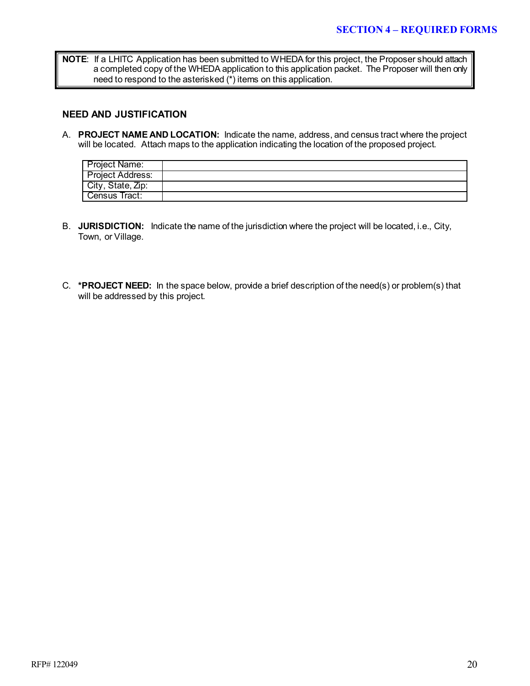**NOTE**: If a LHITC Application has been submitted to WHEDA for this project, the Proposer should attach a completed copy of the WHEDA application to this application packet. The Proposer will then only need to respond to the asterisked (\*) items on this application.

#### **NEED AND JUSTIFICATION**

A. **PROJECT NAME AND LOCATION:** Indicate the name, address, and census tract where the project will be located. Attach maps to the application indicating the location of the proposed project.

| Project Name:           |  |
|-------------------------|--|
| <b>Project Address:</b> |  |
| City, State, Zip:       |  |
| Census Tract:           |  |

- B. **JURISDICTION:** Indicate the name of the jurisdiction where the project will be located, i.e., City, Town, or Village.
- C. **\*PROJECT NEED:** In the space below, provide a brief description of the need(s) or problem(s) that will be addressed by this project.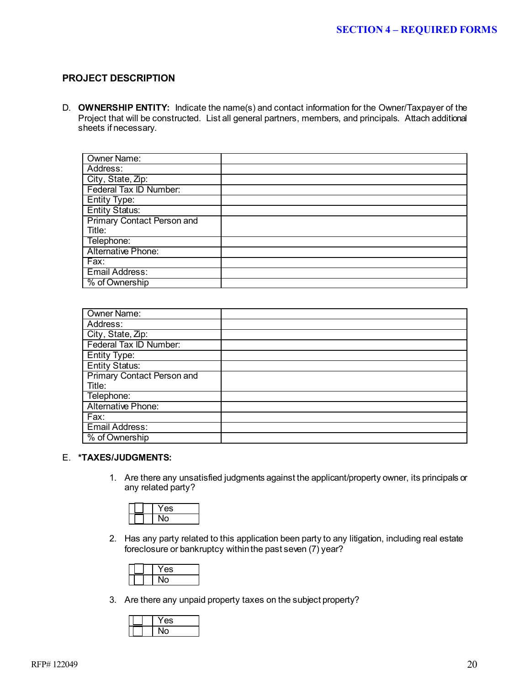#### **PROJECT DESCRIPTION**

D. **OWNERSHIP ENTITY:** Indicate the name(s) and contact information for the Owner/Taxpayer of the Project that will be constructed. List all general partners, members, and principals. Attach additional sheets if necessary.

| Owner Name:                       |  |
|-----------------------------------|--|
| Address:                          |  |
| City, State, Zip:                 |  |
| Federal Tax ID Number:            |  |
| Entity Type:                      |  |
| <b>Entity Status:</b>             |  |
| <b>Primary Contact Person and</b> |  |
| Title:                            |  |
| Telephone:                        |  |
| Alternative Phone:                |  |
| Fax:                              |  |
| <b>Email Address:</b>             |  |
| % of Ownership                    |  |

| <b>Owner Name:</b>                |  |
|-----------------------------------|--|
| Address:                          |  |
| City, State, Zip:                 |  |
| Federal Tax ID Number:            |  |
| <b>Entity Type:</b>               |  |
| <b>Entity Status:</b>             |  |
| <b>Primary Contact Person and</b> |  |
| Title:                            |  |
| Telephone:                        |  |
| Alternative Phone:                |  |
| Fax:                              |  |
| Email Address:                    |  |
| % of Ownership                    |  |

#### E. **\*TAXES/JUDGMENTS:**

1. Are there any unsatisfied judgments against the applicant/property owner, its principals or any related party?



2. Has any party related to this application been party to any litigation, including real estate foreclosure or bankruptcy within the past seven (7) year?

| ÷ |
|---|
|   |

3. Are there any unpaid property taxes on the subject property?

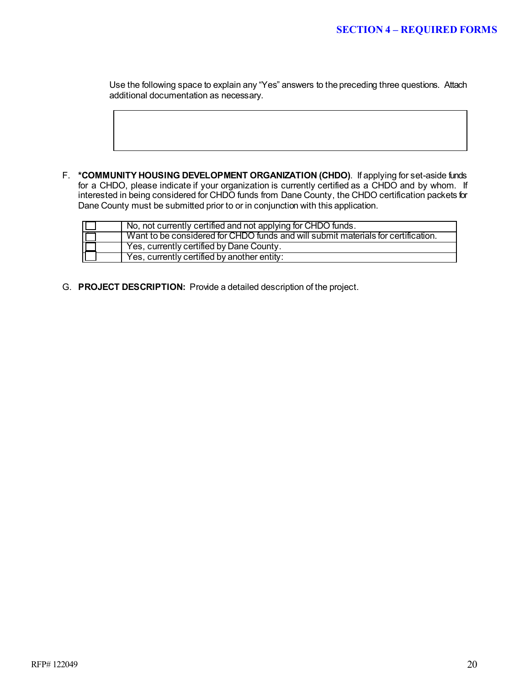Use the following space to explain any "Yes" answers to the preceding three questions. Attach additional documentation as necessary.

F. **\*COMMUNITY HOUSING DEVELOPMENT ORGANIZATION (CHDO)**. If applying for set-aside funds for a CHDO, please indicate if your organization is currently certified as a CHDO and by whom. If interested in being considered for CHDO funds from Dane County, the CHDO certification packets for Dane County must be submitted prior to or in conjunction with this application.

| No, not currently certified and not applying for CHDO funds.                      |
|-----------------------------------------------------------------------------------|
| Want to be considered for CHDO funds and will submit materials for certification. |
| Yes, currently certified by Dane County.                                          |
| Yes, currently certified by another entity:                                       |

G. **PROJECT DESCRIPTION:** Provide a detailed description of the project.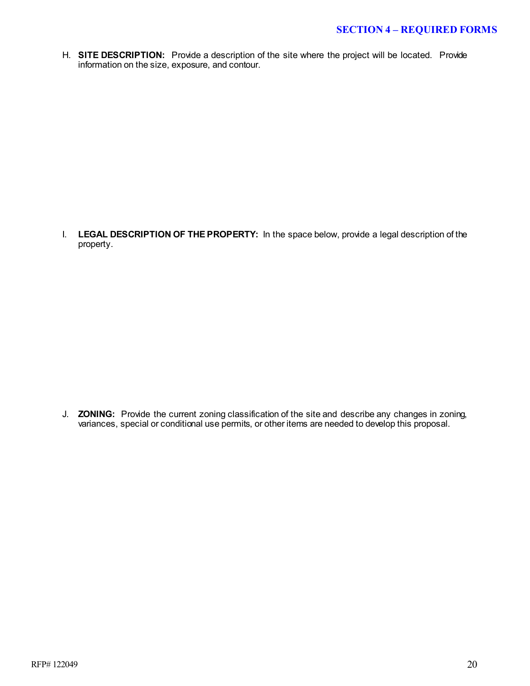H. **SITE DESCRIPTION:** Provide a description of the site where the project will be located. Provide information on the size, exposure, and contour.

I. **LEGAL DESCRIPTION OF THE PROPERTY:** In the space below, provide a legal description of the property.

J. **ZONING:** Provide the current zoning classification of the site and describe any changes in zoning, variances, special or conditional use permits, or other items are needed to develop this proposal.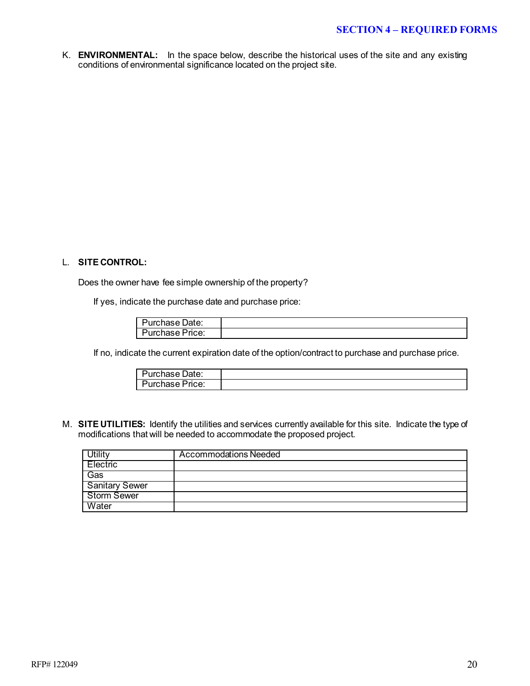K. **ENVIRONMENTAL:** In the space below, describe the historical uses of the site and any existing conditions of environmental significance located on the project site.

#### L. **SITE CONTROL:**

Does the owner have fee simple ownership of the property?

If yes, indicate the purchase date and purchase price:

| Purchase Date:    |  |
|-------------------|--|
| - Purchase Price: |  |

If no, indicate the current expiration date of the option/contract to purchase and purchase price.

| Purchase Date:  |  |
|-----------------|--|
| Purchase Price: |  |

M. **SITE UTILITIES:** Identify the utilities and services currently available for this site. Indicate the type of modifications that will be needed to accommodate the proposed project.

|                       | Accommodations Needed |
|-----------------------|-----------------------|
| Electric              |                       |
| Gas                   |                       |
| <b>Sanitary Sewer</b> |                       |
| Storm Sewer           |                       |
| Water                 |                       |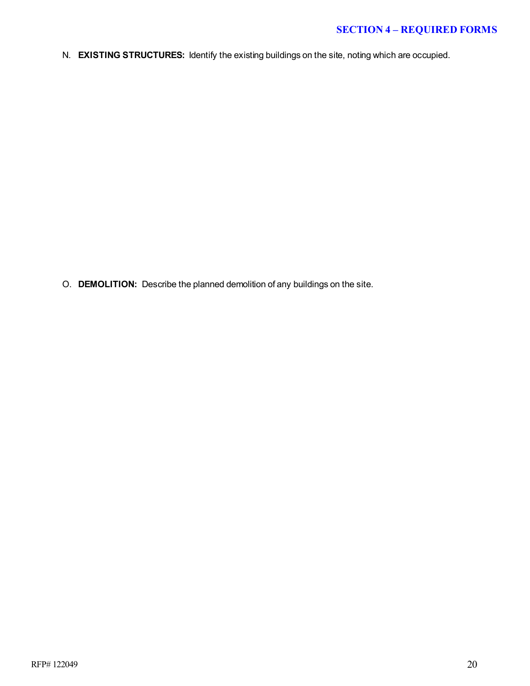### **SECTION 4 – REQUIRED FORMS**

N. **EXISTING STRUCTURES:** Identify the existing buildings on the site, noting which are occupied.

O. **DEMOLITION:** Describe the planned demolition of any buildings on the site.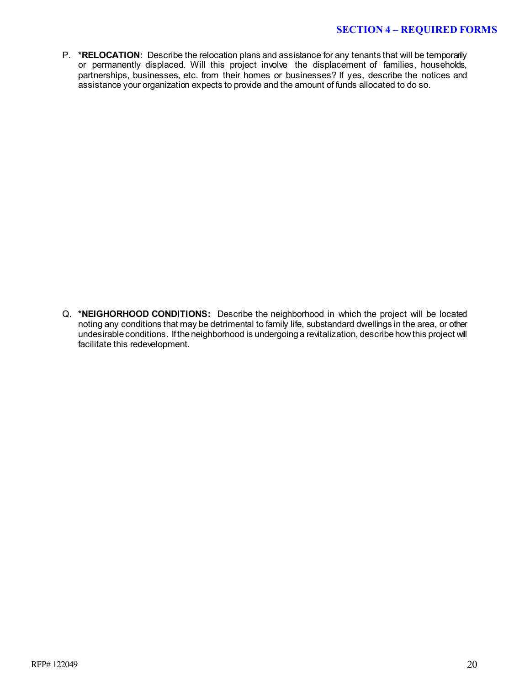#### **SECTION 4 – REQUIRED FORMS**

P. \*RELOCATION: Describe the relocation plans and assistance for any tenants that will be temporarily or permanently displaced. Will this project involve the displacement of families, households, partnerships, businesses, etc. from their homes or businesses? If yes, describe the notices and assistance your organization expects to provide and the amount of funds allocated to do so.

Q. **\*NEIGHORHOOD CONDITIONS:** Describe the neighborhood in which the project will be located noting any conditions that may be detrimental to family life, substandard dwellings in the area, or other undesirable conditions. If the neighborhood is undergoing a revitalization, describe how this project will facilitate this redevelopment.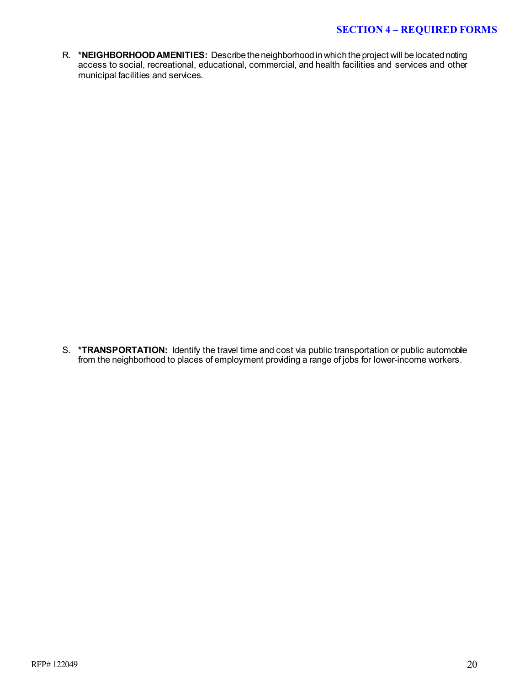R. **\*NEIGHBORHOOD AMENITIES:** Describe the neighborhood in which the project will be located noting access to social, recreational, educational, commercial, and health facilities and services and other municipal facilities and services.

S. **\*TRANSPORTATION:** Identify the travel time and cost via public transportation or public automobile from the neighborhood to places of employment providing a range of jobs for lower-income workers.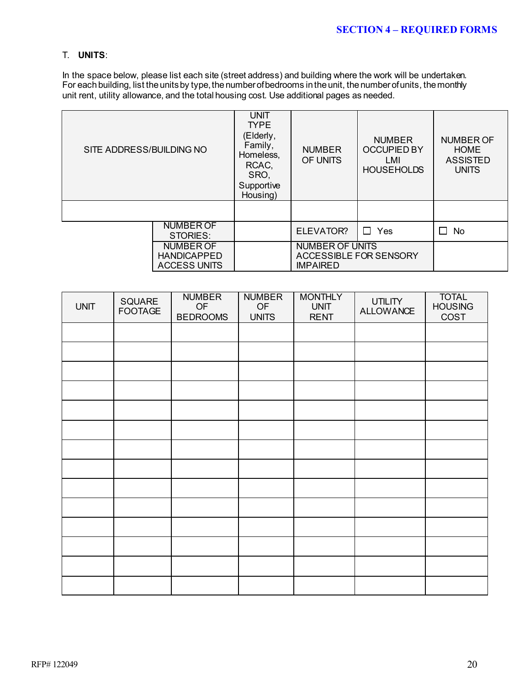#### T. **UNITS**:

In the space below, please list each site (street address) and building where the work will be undertaken. For each building, list the units by type, the number of bedrooms in the unit, the number of units, the monthly unit rent, utility allowance, and the total housing cost. Use additional pages as needed.

| SITE ADDRESS/BUILDING NO     |                                                               | <b>UNIT</b><br><b>TYPE</b><br>(Elderly,<br>Family,<br>Homeless,<br>RCAC,<br>SRO,<br>Supportive<br>Housing) | <b>NUMBER</b><br>OF UNITS                                           | <b>NUMBER</b><br><b>OCCUPIED BY</b><br>LMI<br><b>HOUSEHOLDS</b> | NUMBER OF<br><b>HOME</b><br><b>ASSISTED</b><br><b>UNITS</b> |
|------------------------------|---------------------------------------------------------------|------------------------------------------------------------------------------------------------------------|---------------------------------------------------------------------|-----------------------------------------------------------------|-------------------------------------------------------------|
|                              |                                                               |                                                                                                            |                                                                     |                                                                 |                                                             |
| <b>NUMBER OF</b><br>STORIES: |                                                               |                                                                                                            | ELEVATOR?                                                           | $\Box$ Yes                                                      | П<br>No.                                                    |
|                              | <b>NUMBER OF</b><br><b>HANDICAPPED</b><br><b>ACCESS UNITS</b> |                                                                                                            | <b>NUMBER OF UNITS</b><br>ACCESSIBLE FOR SENSORY<br><b>IMPAIRED</b> |                                                                 |                                                             |

| <b>UNIT</b> | SQUARE<br><b>FOOTAGE</b> | <b>NUMBER</b><br>OF<br><b>BEDROOMS</b> | <b>NUMBER</b><br>OF<br><b>UNITS</b> | <b>MONTHLY</b><br><b>UNIT</b><br><b>RENT</b> | <b>UTILITY</b><br><b>ALLOWANCE</b> | <b>TOTAL</b><br><b>HOUSING</b><br>COST |
|-------------|--------------------------|----------------------------------------|-------------------------------------|----------------------------------------------|------------------------------------|----------------------------------------|
|             |                          |                                        |                                     |                                              |                                    |                                        |
|             |                          |                                        |                                     |                                              |                                    |                                        |
|             |                          |                                        |                                     |                                              |                                    |                                        |
|             |                          |                                        |                                     |                                              |                                    |                                        |
|             |                          |                                        |                                     |                                              |                                    |                                        |
|             |                          |                                        |                                     |                                              |                                    |                                        |
|             |                          |                                        |                                     |                                              |                                    |                                        |
|             |                          |                                        |                                     |                                              |                                    |                                        |
|             |                          |                                        |                                     |                                              |                                    |                                        |
|             |                          |                                        |                                     |                                              |                                    |                                        |
|             |                          |                                        |                                     |                                              |                                    |                                        |
|             |                          |                                        |                                     |                                              |                                    |                                        |
|             |                          |                                        |                                     |                                              |                                    |                                        |
|             |                          |                                        |                                     |                                              |                                    |                                        |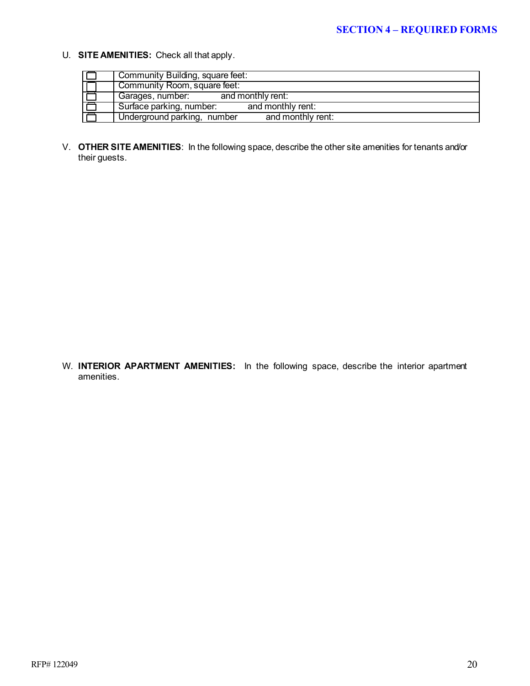U. **SITE AMENITIES:** Check all that apply.

| Community Building, square feet:                 |
|--------------------------------------------------|
| Community Room, square feet:                     |
| Garages, number: and monthly rent:               |
| Surface parking, number:<br>and monthly rent:    |
| and monthly rent:<br>Underground parking, number |

V. **OTHER SITE AMENITIES**:In the following space, describe the other site amenities for tenants and/or their guests.

W. **INTERIOR APARTMENT AMENITIES:** In the following space, describe the interior apartment amenities.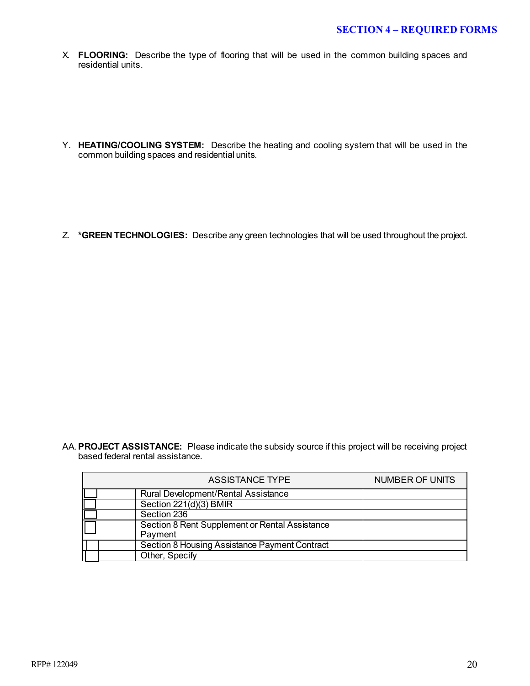X. **FLOORING:** Describe the type of flooring that will be used in the common building spaces and residential units.

Y. **HEATING/COOLING SYSTEM:** Describe the heating and cooling system that will be used in the common building spaces and residential units.

Z. **\*GREEN TECHNOLOGIES:** Describe any green technologies that will be used throughout the project.

AA. **PROJECT ASSISTANCE:** Please indicate the subsidy source if this project will be receiving project based federal rental assistance.

| <b>ASSISTANCE TYPE</b>                                    | <b>NUMBER OF UNITS</b> |
|-----------------------------------------------------------|------------------------|
| Rural Development/Rental Assistance                       |                        |
| Section 221(d)(3) BMIR                                    |                        |
| Section 236                                               |                        |
| Section 8 Rent Supplement or Rental Assistance<br>Payment |                        |
| Section 8 Housing Assistance Payment Contract             |                        |
| Other, Specify                                            |                        |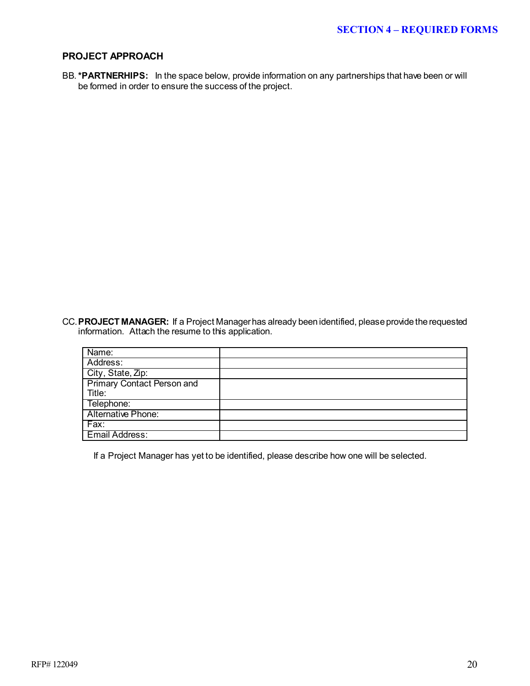#### **PROJECT APPROACH**

BB.**\*PARTNERHIPS:** In the space below, provide information on any partnerships that have been or will be formed in order to ensure the success of the project.

CC.**PROJECT MANAGER:** If a Project Manager has already been identified, please provide the requested information. Attach the resume to this application.

| Name:                             |  |
|-----------------------------------|--|
| Address:                          |  |
| City, State, Zip:                 |  |
| <b>Primary Contact Person and</b> |  |
| Title:                            |  |
| Telephone:                        |  |
| <b>Alternative Phone:</b>         |  |
| Fax:                              |  |
| Email Address:                    |  |

If a Project Manager has yet to be identified, please describe how one will be selected.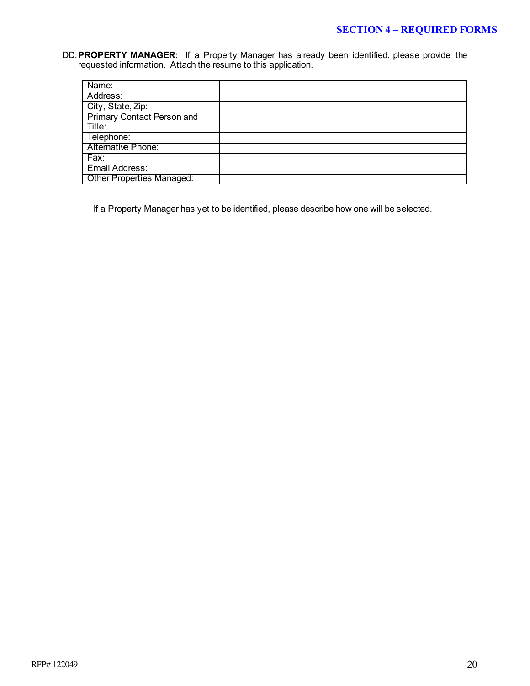DD.**PROPERTY MANAGER:** If a Property Manager has already been identified, please provide the requested information. Attach the resume to this application.

| Name:                             |  |
|-----------------------------------|--|
| Address:                          |  |
| City, State, Zip:                 |  |
| <b>Primary Contact Person and</b> |  |
| Title:                            |  |
| Telephone:                        |  |
| <b>Alternative Phone:</b>         |  |
| Fax:                              |  |
| Email Address:                    |  |
| <b>Other Properties Managed:</b>  |  |

If a Property Manager has yet to be identified, please describe how one will be selected.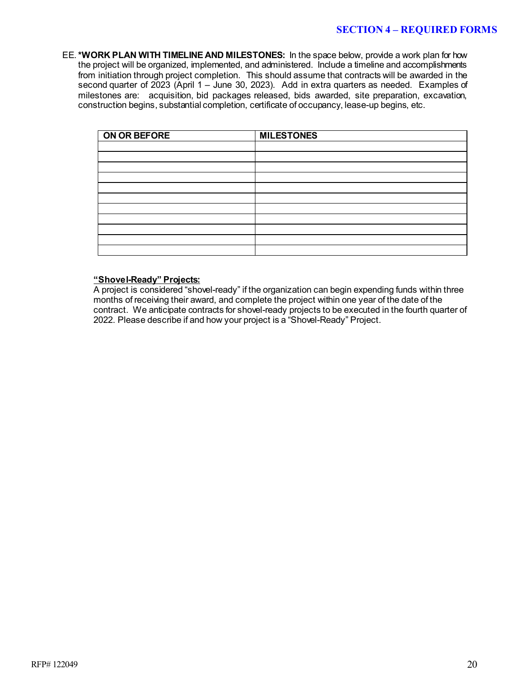EE.**\*WORK PLAN WITH TIMELINE AND MILESTONES:** In the space below, provide a work plan for how the project will be organized, implemented, and administered. Include a timeline and accomplishments from initiation through project completion. This should assume that contracts will be awarded in the second quarter of 2023 (April 1 – June 30, 2023). Add in extra quarters as needed. Examples of milestones are: acquisition, bid packages released, bids awarded, site preparation, excavation, construction begins, substantial completion, certificate of occupancy, lease-up begins, etc.

| ON OR BEFORE | <b>MILESTONES</b> |
|--------------|-------------------|
|              |                   |
|              |                   |
|              |                   |
|              |                   |
|              |                   |
|              |                   |
|              |                   |
|              |                   |
|              |                   |
|              |                   |
|              |                   |

#### **"Shovel-Ready" Projects:**

A project is considered "shovel-ready" if the organization can begin expending funds within three months of receiving their award, and complete the project within one year of the date of the contract. We anticipate contracts for shovel-ready projects to be executed in the fourth quarter of 2022. Please describe if and how your project is a "Shovel-Ready" Project.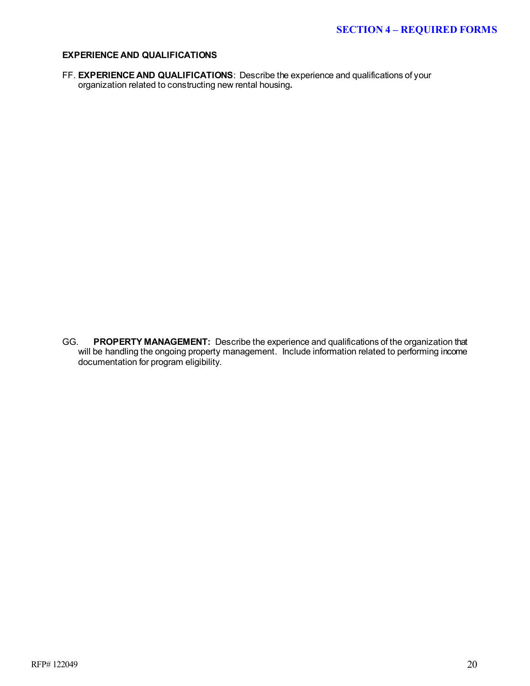#### **EXPERIENCE AND QUALIFICATIONS**

FF. **EXPERIENCE AND QUALIFICATIONS**: Describe the experience and qualifications of your organization related to constructing new rental housing**.** 

GG. **PROPERTY MANAGEMENT:** Describe the experience and qualifications of the organization that will be handling the ongoing property management. Include information related to performing income documentation for program eligibility.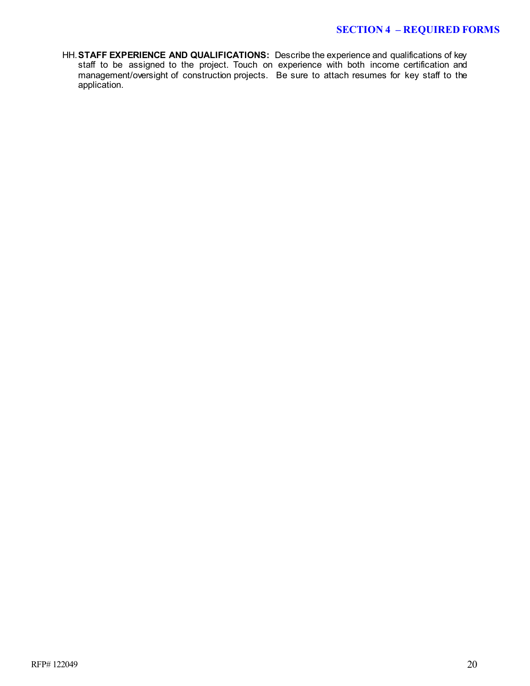HH.**STAFF EXPERIENCE AND QUALIFICATIONS:** Describe the experience and qualifications of key staff to be assigned to the project. Touch on experience with both income certification and management/oversight of construction projects. Be sure to attach resumes for key staff to the application.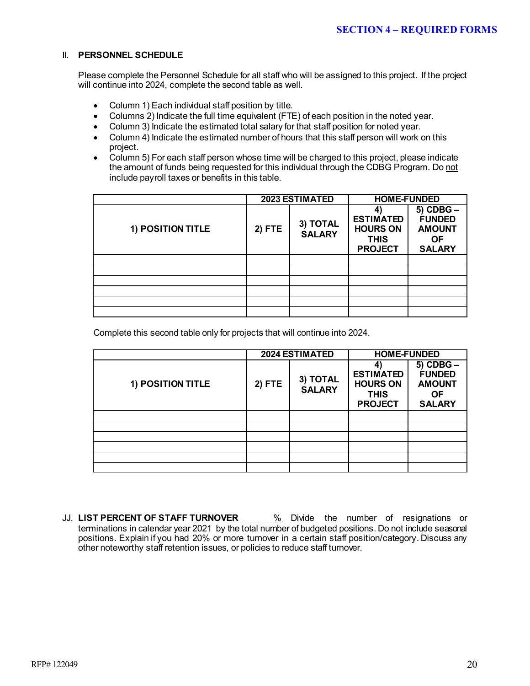#### II. **PERSONNEL SCHEDULE**

Please complete the Personnel Schedule for all staff who will be assigned to this project. If the project will continue into 2024, complete the second table as well.

- Column 1) Each individual staff position by title.
- Columns 2) Indicate the full time equivalent (FTE) of each position in the noted year.
- Column 3) Indicate the estimated total salary for that staff position for noted year.
- Column 4) Indicate the estimated number of hours that this staff person will work on this project.
- Column 5) For each staff person whose time will be charged to this project, please indicate the amount of funds being requested for this individual through the CDBG Program. Do not include payroll taxes or benefits in this table.

|                   |        | <b>2023 ESTIMATED</b>     | <b>HOME-FUNDED</b>                                                   |                                                                               |  |
|-------------------|--------|---------------------------|----------------------------------------------------------------------|-------------------------------------------------------------------------------|--|
| 1) POSITION TITLE | 2) FTE | 3) TOTAL<br><b>SALARY</b> | <b>ESTIMATED</b><br><b>HOURS ON</b><br><b>THIS</b><br><b>PROJECT</b> | $5)$ CDBG $-$<br><b>FUNDED</b><br><b>AMOUNT</b><br><b>OF</b><br><b>SALARY</b> |  |
|                   |        |                           |                                                                      |                                                                               |  |
|                   |        |                           |                                                                      |                                                                               |  |
|                   |        |                           |                                                                      |                                                                               |  |
|                   |        |                           |                                                                      |                                                                               |  |
|                   |        |                           |                                                                      |                                                                               |  |
|                   |        |                           |                                                                      |                                                                               |  |

Complete this second table only for projects that will continue into 2024.

|                   |          | <b>2024 ESTIMATED</b>     | <b>HOME-FUNDED</b>                                                   |                                                                               |
|-------------------|----------|---------------------------|----------------------------------------------------------------------|-------------------------------------------------------------------------------|
| 1) POSITION TITLE | $2)$ FTE | 3) TOTAL<br><b>SALARY</b> | <b>ESTIMATED</b><br><b>HOURS ON</b><br><b>THIS</b><br><b>PROJECT</b> | $5)$ CDBG $-$<br><b>FUNDED</b><br><b>AMOUNT</b><br><b>OF</b><br><b>SALARY</b> |
|                   |          |                           |                                                                      |                                                                               |
|                   |          |                           |                                                                      |                                                                               |
|                   |          |                           |                                                                      |                                                                               |
|                   |          |                           |                                                                      |                                                                               |
|                   |          |                           |                                                                      |                                                                               |
|                   |          |                           |                                                                      |                                                                               |

JJ. LIST PERCENT OF STAFF TURNOVER **6. 2008** Divide the number of resignations or terminations in calendar year 2021 by the total number of budgeted positions. Do not include seasonal positions. Explain if you had 20% or more turnover in a certain staff position/category. Discuss any other noteworthy staff retention issues, or policies to reduce staff turnover.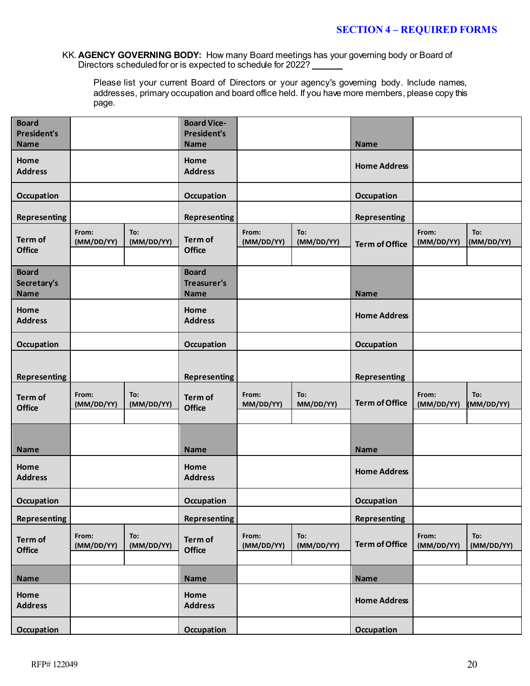KK. **AGENCY GOVERNING BODY:** How many Board meetings has your governing body or Board of Directors scheduled for or is expected to schedule for 2022?

Please list your current Board of Directors or your agency's governing body. Include names, addresses, primary occupation and board office held. If you have more members, please copy this page.

| <b>Board</b><br><b>President's</b><br><b>Name</b> |                     |                   | <b>Board Vice-</b><br><b>President's</b><br><b>Name</b> |                     |                   | <b>Name</b>           |                     |                   |
|---------------------------------------------------|---------------------|-------------------|---------------------------------------------------------|---------------------|-------------------|-----------------------|---------------------|-------------------|
| Home<br><b>Address</b>                            |                     |                   | Home<br><b>Address</b>                                  |                     |                   | <b>Home Address</b>   |                     |                   |
| Occupation                                        |                     |                   | Occupation                                              |                     |                   | Occupation            |                     |                   |
| <b>Representing</b>                               |                     |                   | <b>Representing</b>                                     |                     |                   | <b>Representing</b>   |                     |                   |
| <b>Term of</b><br><b>Office</b>                   | From:<br>(MM/DD/YY) | To:<br>(MM/DD/YY) | Term of<br><b>Office</b>                                | From:<br>(MM/DD/YY) | To:<br>(MM/DD/YY) | <b>Term of Office</b> | From:<br>(MM/DD/YY) | To:<br>(MM/DD/YY) |
| <b>Board</b><br>Secretary's<br><b>Name</b>        |                     |                   | <b>Board</b><br>Treasurer's<br><b>Name</b>              |                     |                   | <b>Name</b>           |                     |                   |
| Home<br><b>Address</b>                            |                     |                   | Home<br><b>Address</b>                                  |                     |                   | <b>Home Address</b>   |                     |                   |
| Occupation                                        |                     |                   | Occupation                                              |                     |                   | Occupation            |                     |                   |
| <b>Representing</b>                               |                     |                   | <b>Representing</b>                                     |                     |                   | <b>Representing</b>   |                     |                   |
| <b>Term of</b><br><b>Office</b>                   | From:<br>(MM/DD/YY) | To:<br>(MM/DD/YY) | Term of<br><b>Office</b>                                | From:<br>MM/DD/YY)  | To:<br>MM/DD/YY)  | <b>Term of Office</b> | From:<br>(MM/DD/YY) | To:<br>(MM/DD/YY) |
| <b>Name</b>                                       |                     |                   | <b>Name</b>                                             |                     |                   | <b>Name</b>           |                     |                   |
| Home<br><b>Address</b>                            |                     |                   | Home<br><b>Address</b>                                  |                     |                   | <b>Home Address</b>   |                     |                   |
| <b>Occupation</b>                                 |                     |                   | Occupation                                              |                     |                   | Occupation            |                     |                   |
| <b>Representing</b>                               |                     |                   | <b>Representing</b>                                     |                     |                   | <b>Representing</b>   |                     |                   |
| Term of<br><b>Office</b>                          | From:<br>(MM/DD/YY) | To:<br>(MM/DD/YY) | Term of<br><b>Office</b>                                | From:<br>(MM/DD/YY) | To:<br>(MM/DD/YY) | <b>Term of Office</b> | From:<br>(MM/DD/YY) | To:<br>(MM/DD/YY) |
| Name                                              |                     |                   | <b>Name</b>                                             |                     |                   | <b>Name</b>           |                     |                   |
| Home<br><b>Address</b>                            |                     |                   | Home<br><b>Address</b>                                  |                     |                   | <b>Home Address</b>   |                     |                   |
| Occupation                                        |                     |                   | <b>Occupation</b>                                       |                     |                   | Occupation            |                     |                   |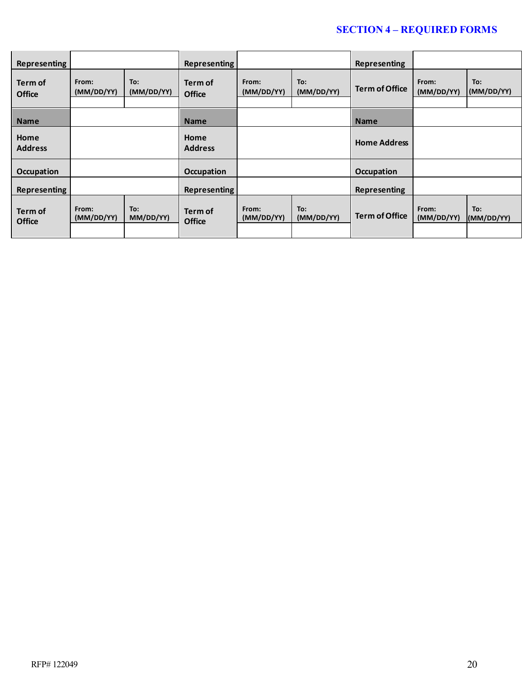### **SECTION 4 – REQUIRED FORMS**

| Representing                    |                     |                   | Representing             |                     |                   | <b>Representing</b>   |                     |                   |
|---------------------------------|---------------------|-------------------|--------------------------|---------------------|-------------------|-----------------------|---------------------|-------------------|
| <b>Term of</b><br><b>Office</b> | From:<br>(MM/DD/YY) | To:<br>(MM/DD/YY) | Term of<br><b>Office</b> | From:<br>(MM/DD/YY) | To:<br>(MM/DD/YY) | <b>Term of Office</b> | From:<br>(MM/DD/YY) | To:<br>(MM/DD/YY) |
| <b>Name</b>                     |                     |                   | <b>Name</b>              |                     |                   | <b>Name</b>           |                     |                   |
| Home<br><b>Address</b>          |                     |                   | Home<br><b>Address</b>   |                     |                   | <b>Home Address</b>   |                     |                   |
| <b>Occupation</b>               |                     |                   | <b>Occupation</b>        |                     |                   | <b>Occupation</b>     |                     |                   |
| <b>Representing</b>             |                     |                   | <b>Representing</b>      |                     |                   | <b>Representing</b>   |                     |                   |
| Term of<br><b>Office</b>        | From:<br>(MM/DD/YY) | To:<br>MM/DD/YY)  | Term of<br><b>Office</b> | From:<br>(MM/DD/YY) | To:<br>(MM/DD/YY) | <b>Term of Office</b> | From:<br>(MM/DD/YY) | To:<br>(MM/DD/YY) |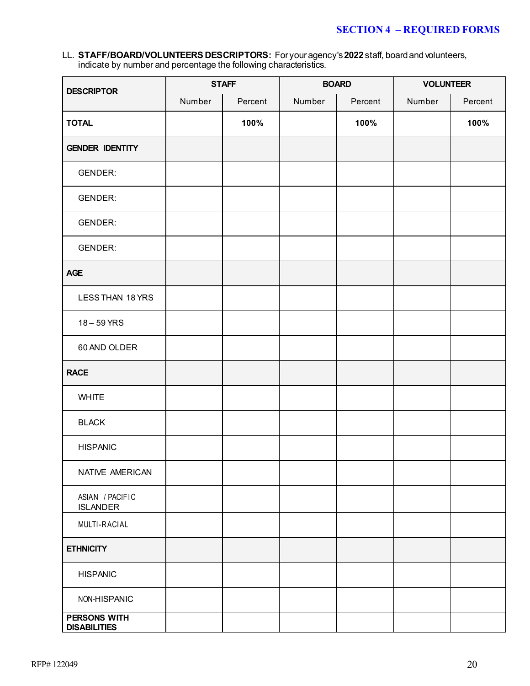### **SECTION 4 – REQUIRED FORMS**

LL. **STAFF/BOARD/VOLUNTEERS DESCRIPTORS:** For your agency's **2022** staff, board and volunteers, indicate by number and percentage the following characteristics.

| <b>DESCRIPTOR</b>                          | <b>STAFF</b> |         | <b>BOARD</b> |         | <b>VOLUNTEER</b> |         |
|--------------------------------------------|--------------|---------|--------------|---------|------------------|---------|
|                                            | Number       | Percent | Number       | Percent | Number           | Percent |
| <b>TOTAL</b>                               |              | 100%    |              | 100%    |                  | 100%    |
| <b>GENDER IDENTITY</b>                     |              |         |              |         |                  |         |
| <b>GENDER:</b>                             |              |         |              |         |                  |         |
| <b>GENDER:</b>                             |              |         |              |         |                  |         |
| <b>GENDER:</b>                             |              |         |              |         |                  |         |
| <b>GENDER:</b>                             |              |         |              |         |                  |         |
| <b>AGE</b>                                 |              |         |              |         |                  |         |
| LESS THAN 18 YRS                           |              |         |              |         |                  |         |
| $18 - 59$ YRS                              |              |         |              |         |                  |         |
| 60 AND OLDER                               |              |         |              |         |                  |         |
| <b>RACE</b>                                |              |         |              |         |                  |         |
| <b>WHITE</b>                               |              |         |              |         |                  |         |
| <b>BLACK</b>                               |              |         |              |         |                  |         |
| <b>HISPANIC</b>                            |              |         |              |         |                  |         |
| NATIVE AMERICAN                            |              |         |              |         |                  |         |
| ASIAN / PACIFIC<br><b>ISLANDER</b>         |              |         |              |         |                  |         |
| MULTI-RACIAL                               |              |         |              |         |                  |         |
| <b>ETHNICITY</b>                           |              |         |              |         |                  |         |
| <b>HISPANIC</b>                            |              |         |              |         |                  |         |
| NON-HISPANIC                               |              |         |              |         |                  |         |
| <b>PERSONS WITH</b><br><b>DISABILITIES</b> |              |         |              |         |                  |         |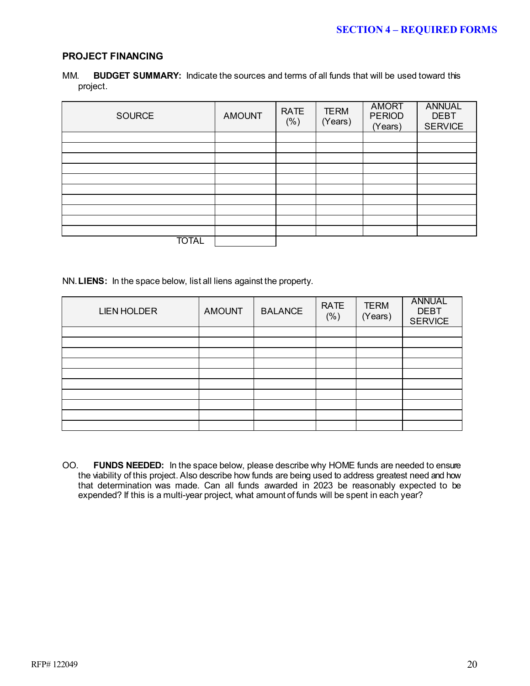#### **PROJECT FINANCING**

| MM. |          | <b>BUDGET SUMMARY:</b> Indicate the sources and terms of all funds that will be used toward this |  |  |
|-----|----------|--------------------------------------------------------------------------------------------------|--|--|
|     | project. |                                                                                                  |  |  |

| <b>SOURCE</b> | <b>AMOUNT</b> | <b>RATE</b><br>$(\% )$ | <b>TERM</b><br>(Years) | <b>AMORT</b><br><b>PERIOD</b><br>(Years) | <b>ANNUAL</b><br><b>DEBT</b><br><b>SERVICE</b> |
|---------------|---------------|------------------------|------------------------|------------------------------------------|------------------------------------------------|
|               |               |                        |                        |                                          |                                                |
|               |               |                        |                        |                                          |                                                |
|               |               |                        |                        |                                          |                                                |
|               |               |                        |                        |                                          |                                                |
|               |               |                        |                        |                                          |                                                |
|               |               |                        |                        |                                          |                                                |
|               |               |                        |                        |                                          |                                                |
|               |               |                        |                        |                                          |                                                |
|               |               |                        |                        |                                          |                                                |
|               |               |                        |                        |                                          |                                                |
| <b>TOTAL</b>  |               |                        |                        |                                          |                                                |

NN.**LIENS:** In the space below, list all liens against the property.

| <b>LIEN HOLDER</b> | <b>AMOUNT</b> | <b>BALANCE</b> | <b>RATE</b><br>(% ) | <b>TERM</b><br>(Years) | <b>ANNUAL</b><br><b>DEBT</b><br><b>SERVICE</b> |
|--------------------|---------------|----------------|---------------------|------------------------|------------------------------------------------|
|                    |               |                |                     |                        |                                                |
|                    |               |                |                     |                        |                                                |
|                    |               |                |                     |                        |                                                |
|                    |               |                |                     |                        |                                                |
|                    |               |                |                     |                        |                                                |
|                    |               |                |                     |                        |                                                |
|                    |               |                |                     |                        |                                                |
|                    |               |                |                     |                        |                                                |
|                    |               |                |                     |                        |                                                |
|                    |               |                |                     |                        |                                                |

OO. **FUNDS NEEDED:** In the space below, please describe why HOME funds are needed to ensure the viability of this project. Also describe how funds are being used to address greatest need and how that determination was made. Can all funds awarded in 2023 be reasonably expected to be expended? If this is a multi-year project, what amount of funds will be spent in each year?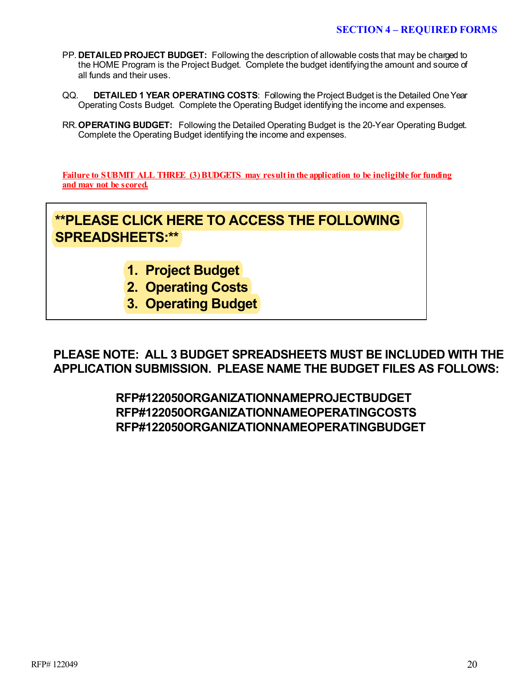- PP. **DETAILED PROJECT BUDGET:** Following the description of allowable costs that may be charged to the HOME Program is the Project Budget. Complete the budget identifying the amount and source of all funds and their uses.
- QQ. **DETAILED 1 YEAR OPERATING COSTS**: Following the Project Budget is the Detailed One Year Operating Costs Budget. Complete the Operating Budget identifying the income and expenses.
- RR.**OPERATING BUDGET:** Following the Detailed Operating Budget is the 20-Year Operating Budget. Complete the Operating Budget identifying the income and expenses.

**Failure to SUBMIT ALL THREE (3) BUDGETS may result in the application to be ineligible for funding and may not be scored.**

# **[\\*\\*PLEASE CLICK HERE TO ACCESS THE FOLLOWING](https://countyofdane.sharefile.com/share/view/s885ee4af28a344cdaa1251fdfc40ceaf)  SPREADSHEETS:\*\***

- **1. Project Budget**
- **2. Operating Costs**
- **3. Operating Budget**

**PLEASE NOTE: ALL 3 BUDGET SPREADSHEETS MUST BE INCLUDED WITH THE APPLICATION SUBMISSION. PLEASE NAME THE BUDGET FILES AS FOLLOWS:**

> **RFP#122050ORGANIZATIONNAMEPROJECTBUDGET RFP#122050ORGANIZATIONNAMEOPERATINGCOSTS RFP#122050ORGANIZATIONNAMEOPERATINGBUDGET**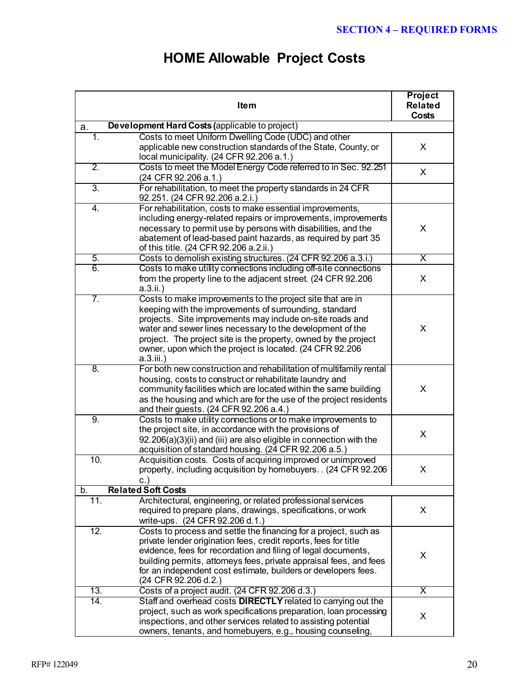# **HOME Allowable Project Costs**

|                   | <b>Item</b>                                                                                                                                                                                                                                                                                                                                                                                | <b>Project</b><br><b>Related</b><br><b>Costs</b> |
|-------------------|--------------------------------------------------------------------------------------------------------------------------------------------------------------------------------------------------------------------------------------------------------------------------------------------------------------------------------------------------------------------------------------------|--------------------------------------------------|
| a.                | Development Hard Costs (applicable to project)                                                                                                                                                                                                                                                                                                                                             |                                                  |
| 1.                | Costs to meet Uniform Dwelling Code (UDC) and other<br>applicable new construction standards of the State, County, or<br>local municipality. (24 CFR 92.206 a.1.)                                                                                                                                                                                                                          | X                                                |
| $\overline{2}$ .  | Costs to meet the Model Energy Code referred to in Sec. 92.251<br>(24 CFR 92.206 a.1.)                                                                                                                                                                                                                                                                                                     | X                                                |
| $\overline{3}$ .  | For rehabilitation, to meet the property standards in 24 CFR<br>92.251. (24 CFR 92.206 a.2.i.)                                                                                                                                                                                                                                                                                             |                                                  |
| 4.                | For rehabilitation, costs to make essential improvements,<br>including energy-related repairs or improvements, improvements<br>necessary to permit use by persons with disabilities, and the<br>abatement of lead-based paint hazards, as required by part 35<br>of this title. (24 CFR 92.206 a.2.ii.)                                                                                    | X                                                |
| 5.                | Costs to demolish existing structures. (24 CFR 92.206 a.3.i.)                                                                                                                                                                                                                                                                                                                              | X                                                |
| 6.                | Costs to make utility connections including off-site connections<br>from the property line to the adjacent street. (24 CFR 92.206<br>$a.3.ii.$ )                                                                                                                                                                                                                                           | X                                                |
| 7.                | Costs to make improvements to the project site that are in<br>keeping with the improvements of surrounding, standard<br>projects. Site improvements may include on-site roads and<br>water and sewer lines necessary to the development of the<br>project. The project site is the property, owned by the project<br>owner, upon which the project is located. (24 CFR 92.206<br>a.3.iii.) | X                                                |
| 8.                | For both new construction and rehabilitation of multifamily rental<br>housing, costs to construct or rehabilitate laundry and<br>community facilities which are located within the same building<br>as the housing and which are for the use of the project residents<br>and their guests. (24 CFR 92.206 a.4.)                                                                            | X                                                |
| 9.                | Costs to make utility connections or to make improvements to<br>the project site, in accordance with the provisions of<br>92.206(a)(3)(ii) and (iii) are also eligible in connection with the<br>acquisition of standard housing. (24 CFR 92.206 a.5.)                                                                                                                                     | X                                                |
| 10.               | Acquisition costs. Costs of acquiring improved or unimproved<br>property, including acquisition by homebuyers (24 CFR 92.206)<br>С.,                                                                                                                                                                                                                                                       | X                                                |
| b.                | <b>Related Soft Costs</b>                                                                                                                                                                                                                                                                                                                                                                  |                                                  |
| 11.               | Architectural, engineering, or related professional services<br>required to prepare plans, drawings, specifications, or work<br>write-ups. (24 CFR 92.206 d.1.)                                                                                                                                                                                                                            | X                                                |
| $\overline{12}$ . | Costs to process and settle the financing for a project, such as<br>private lender origination fees, credit reports, fees for title<br>evidence, fees for recordation and filing of legal documents,<br>building permits, attorneys fees, private appraisal fees, and fees<br>for an independent cost estimate, builders or developers fees.<br>(24 CFR 92.206 d.2.)                       | X                                                |
| 13.               | Costs of a project audit. (24 CFR 92.206 d.3.)                                                                                                                                                                                                                                                                                                                                             | X                                                |
| 14.               | Staff and overhead costs <b>DIRECTLY</b> related to carrying out the<br>project, such as work specifications preparation, loan processing<br>inspections, and other services related to assisting potential<br>owners, tenants, and homebuyers, e.g., housing counseling,                                                                                                                  | X                                                |